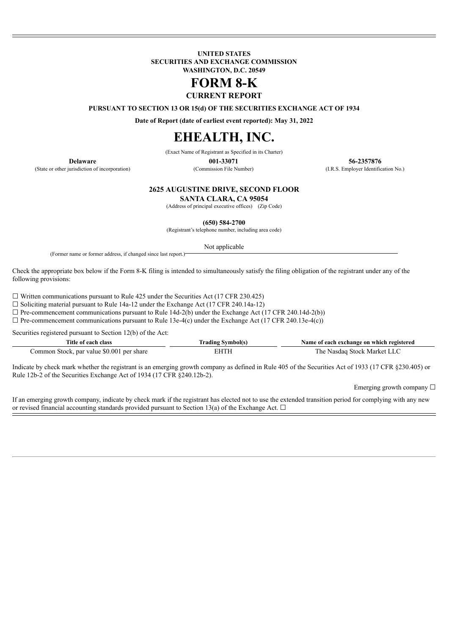**UNITED STATES SECURITIES AND EXCHANGE COMMISSION WASHINGTON, D.C. 20549**

# **FORM 8-K**

**CURRENT REPORT**

**PURSUANT TO SECTION 13 OR 15(d) OF THE SECURITIES EXCHANGE ACT OF 1934**

**Date of Report (date of earliest event reported): May 31, 2022**

## **EHEALTH, INC.**

(Exact Name of Registrant as Specified in its Charter)

(State or other jurisdiction of incorporation) (Commission File Number) (I.R.S. Employer Identification No.)

**Delaware 001-33071 56-2357876**

**2625 AUGUSTINE DRIVE, SECOND FLOOR**

**SANTA CLARA, CA 95054**

(Address of principal executive offices) (Zip Code)

**(650) 584-2700**

(Registrant's telephone number, including area code)

Not applicable

(Former name or former address, if changed since last report.)

Check the appropriate box below if the Form 8-K filing is intended to simultaneously satisfy the filing obligation of the registrant under any of the following provisions:

 $\Box$  Written communications pursuant to Rule 425 under the Securities Act (17 CFR 230.425)

 $\Box$  Soliciting material pursuant to Rule 14a-12 under the Exchange Act (17 CFR 240.14a-12)

 $\Box$  Pre-commencement communications pursuant to Rule 14d-2(b) under the Exchange Act (17 CFR 240.14d-2(b))

 $\Box$  Pre-commencement communications pursuant to Rule 13e-4(c) under the Exchange Act (17 CFR 240.13e-4(c))

Securities registered pursuant to Section 12(b) of the Act:

| Title of each class                       | [rading Symbol(s) | Name of each exchange on which registered |
|-------------------------------------------|-------------------|-------------------------------------------|
| Common Stock, par value \$0.001 per share | EHTH              | The Nasdaq Stock Market LLC               |

Indicate by check mark whether the registrant is an emerging growth company as defined in Rule 405 of the Securities Act of 1933 (17 CFR §230.405) or Rule 12b-2 of the Securities Exchange Act of 1934 (17 CFR §240.12b-2).

Emerging growth company  $\Box$ 

If an emerging growth company, indicate by check mark if the registrant has elected not to use the extended transition period for complying with any new or revised financial accounting standards provided pursuant to Section 13(a) of the Exchange Act.  $\Box$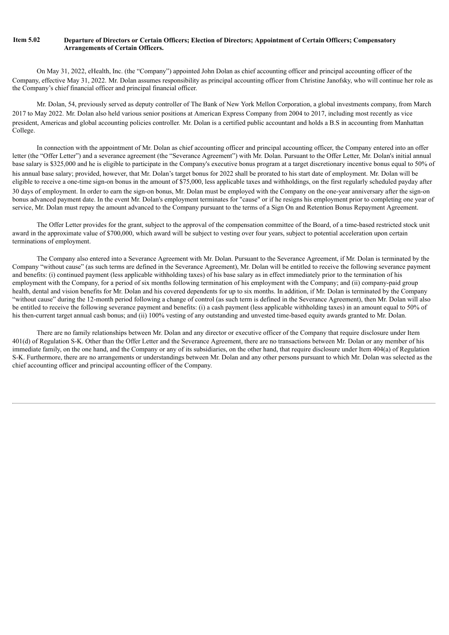#### Item 5.02 Departure of Directors or Certain Officers; Election of Directors; Appointment of Certain Officers; Compensatory **Arrangements of Certain Officers.**

On May 31, 2022, eHealth, Inc. (the "Company") appointed John Dolan as chief accounting officer and principal accounting officer of the Company, effective May 31, 2022. Mr. Dolan assumes responsibility as principal accounting officer from Christine Janofsky, who will continue her role as the Company's chief financial officer and principal financial officer.

Mr. Dolan, 54, previously served as deputy controller of The Bank of New York Mellon Corporation, a global investments company, from March 2017 to May 2022. Mr. Dolan also held various senior positions at American Express Company from 2004 to 2017, including most recently as vice president, Americas and global accounting policies controller. Mr. Dolan is a certified public accountant and holds a B.S in accounting from Manhattan College.

In connection with the appointment of Mr. Dolan as chief accounting officer and principal accounting officer, the Company entered into an offer letter (the "Offer Letter") and a severance agreement (the "Severance Agreement") with Mr. Dolan. Pursuant to the Offer Letter, Mr. Dolan's initial annual base salary is \$325,000 and he is eligible to participate in the Company's executive bonus program at a target discretionary incentive bonus equal to 50% of his annual base salary; provided, however, that Mr. Dolan's target bonus for 2022 shall be prorated to his start date of employment. Mr. Dolan will be eligible to receive a one-time sign-on bonus in the amount of \$75,000, less applicable taxes and withholdings, on the first regularly scheduled payday after 30 days of employment. In order to earn the sign-on bonus, Mr. Dolan must be employed with the Company on the one-year anniversary after the sign-on bonus advanced payment date. In the event Mr. Dolan's employment terminates for "cause" or if he resigns his employment prior to completing one year of service, Mr. Dolan must repay the amount advanced to the Company pursuant to the terms of a Sign On and Retention Bonus Repayment Agreement.

The Offer Letter provides for the grant, subject to the approval of the compensation committee of the Board, of a time-based restricted stock unit award in the approximate value of \$700,000, which award will be subject to vesting over four years, subject to potential acceleration upon certain terminations of employment.

The Company also entered into a Severance Agreement with Mr. Dolan. Pursuant to the Severance Agreement, if Mr. Dolan is terminated by the Company "without cause" (as such terms are defined in the Severance Agreement), Mr. Dolan will be entitled to receive the following severance payment and benefits: (i) continued payment (less applicable withholding taxes) of his base salary as in effect immediately prior to the termination of his employment with the Company, for a period of six months following termination of his employment with the Company; and (ii) company-paid group health, dental and vision benefits for Mr. Dolan and his covered dependents for up to six months. In addition, if Mr. Dolan is terminated by the Company "without cause" during the 12-month period following a change of control (as such term is defined in the Severance Agreement), then Mr. Dolan will also be entitled to receive the following severance payment and benefits: (i) a cash payment (less applicable withholding taxes) in an amount equal to 50% of his then-current target annual cash bonus; and (ii) 100% vesting of any outstanding and unvested time-based equity awards granted to Mr. Dolan.

There are no family relationships between Mr. Dolan and any director or executive officer of the Company that require disclosure under Item 401(d) of Regulation S-K. Other than the Offer Letter and the Severance Agreement, there are no transactions between Mr. Dolan or any member of his immediate family, on the one hand, and the Company or any of its subsidiaries, on the other hand, that require disclosure under Item 404(a) of Regulation S-K. Furthermore, there are no arrangements or understandings between Mr. Dolan and any other persons pursuant to which Mr. Dolan was selected as the chief accounting officer and principal accounting officer of the Company.